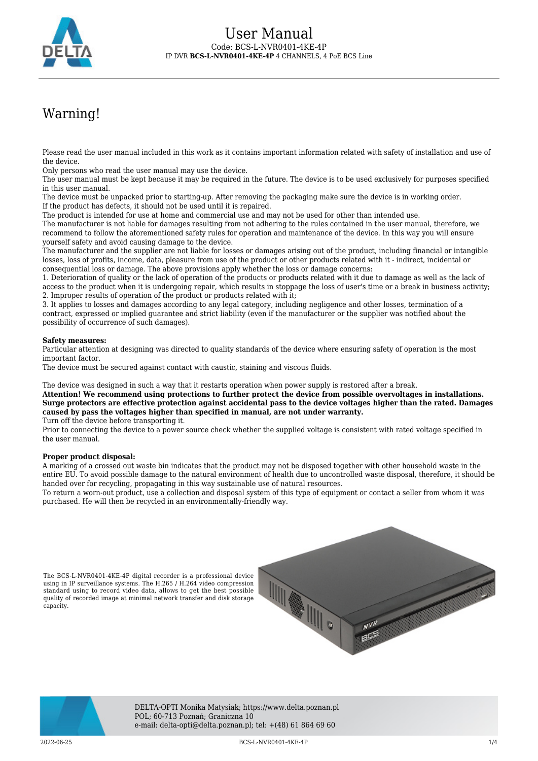

# Warning!

Please read the user manual included in this work as it contains important information related with safety of installation and use of the device.

Only persons who read the user manual may use the device.

The user manual must be kept because it may be required in the future. The device is to be used exclusively for purposes specified in this user manual.

The device must be unpacked prior to starting-up. After removing the packaging make sure the device is in working order. If the product has defects, it should not be used until it is repaired.

The product is intended for use at home and commercial use and may not be used for other than intended use.

The manufacturer is not liable for damages resulting from not adhering to the rules contained in the user manual, therefore, we recommend to follow the aforementioned safety rules for operation and maintenance of the device. In this way you will ensure yourself safety and avoid causing damage to the device.

The manufacturer and the supplier are not liable for losses or damages arising out of the product, including financial or intangible losses, loss of profits, income, data, pleasure from use of the product or other products related with it - indirect, incidental or consequential loss or damage. The above provisions apply whether the loss or damage concerns:

1. Deterioration of quality or the lack of operation of the products or products related with it due to damage as well as the lack of access to the product when it is undergoing repair, which results in stoppage the loss of user's time or a break in business activity; 2. Improper results of operation of the product or products related with it;

3. It applies to losses and damages according to any legal category, including negligence and other losses, termination of a contract, expressed or implied guarantee and strict liability (even if the manufacturer or the supplier was notified about the possibility of occurrence of such damages).

#### **Safety measures:**

Particular attention at designing was directed to quality standards of the device where ensuring safety of operation is the most important factor.

The device must be secured against contact with caustic, staining and viscous fluids.

The device was designed in such a way that it restarts operation when power supply is restored after a break.

**Attention! We recommend using protections to further protect the device from possible overvoltages in installations. Surge protectors are effective protection against accidental pass to the device voltages higher than the rated. Damages caused by pass the voltages higher than specified in manual, are not under warranty.**

Turn off the device before transporting it.

Prior to connecting the device to a power source check whether the supplied voltage is consistent with rated voltage specified in the user manual.

#### **Proper product disposal:**

A marking of a crossed out waste bin indicates that the product may not be disposed together with other household waste in the entire EU. To avoid possible damage to the natural environment of health due to uncontrolled waste disposal, therefore, it should be handed over for recycling, propagating in this way sustainable use of natural resources.

To return a worn-out product, use a collection and disposal system of this type of equipment or contact a seller from whom it was purchased. He will then be recycled in an environmentally-friendly way.

The BCS-L-NVR0401-4KE-4P digital recorder is a professional device using in IP surveillance systems. The H.265 / H.264 video compression standard using to record video data, allows to get the best possible quality of recorded image at minimal network transfer and disk storage capacity.





DELTA-OPTI Monika Matysiak; https://www.delta.poznan.pl POL; 60-713 Poznań; Graniczna 10 e-mail: delta-opti@delta.poznan.pl; tel: +(48) 61 864 69 60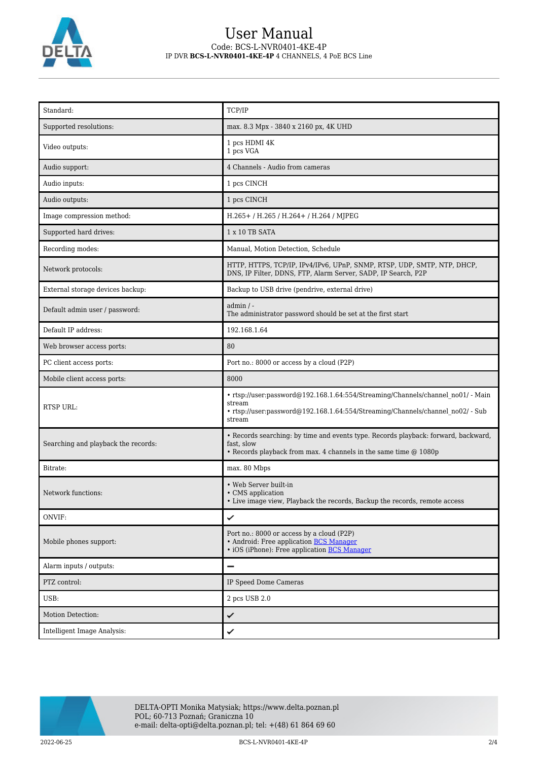

## User Manual Code: BCS-L-NVR0401-4KE-4P IP DVR **BCS-L-NVR0401-4KE-4P** 4 CHANNELS, 4 PoE BCS Line

| Standard:                           | TCP/IP                                                                                                                                                                                |
|-------------------------------------|---------------------------------------------------------------------------------------------------------------------------------------------------------------------------------------|
| Supported resolutions:              | max. 8.3 Mpx - 3840 x 2160 px, 4K UHD                                                                                                                                                 |
| Video outputs:                      | 1 pcs HDMI 4K<br>1 pcs VGA                                                                                                                                                            |
| Audio support:                      | 4 Channels - Audio from cameras                                                                                                                                                       |
| Audio inputs:                       | 1 pcs CINCH                                                                                                                                                                           |
| Audio outputs:                      | 1 pcs CINCH                                                                                                                                                                           |
| Image compression method:           | H.265+ / H.265 / H.264+ / H.264 / MJPEG                                                                                                                                               |
| Supported hard drives:              | 1 x 10 TB SATA                                                                                                                                                                        |
| Recording modes:                    | Manual, Motion Detection, Schedule                                                                                                                                                    |
| Network protocols:                  | HTTP, HTTPS, TCP/IP, IPv4/IPv6, UPnP, SNMP, RTSP, UDP, SMTP, NTP, DHCP,<br>DNS, IP Filter, DDNS, FTP, Alarm Server, SADP, IP Search, P2P                                              |
| External storage devices backup:    | Backup to USB drive (pendrive, external drive)                                                                                                                                        |
| Default admin user / password:      | admin / -<br>The administrator password should be set at the first start                                                                                                              |
| Default IP address:                 | 192.168.1.64                                                                                                                                                                          |
| Web browser access ports:           | 80                                                                                                                                                                                    |
| PC client access ports:             | Port no.: 8000 or access by a cloud (P2P)                                                                                                                                             |
| Mobile client access ports:         | 8000                                                                                                                                                                                  |
| <b>RTSP URL:</b>                    | • rtsp://user:password@192.168.1.64:554/Streaming/Channels/channel no01/ - Main<br>stream<br>• rtsp://user:password@192.168.1.64:554/Streaming/Channels/channel no02/ - Sub<br>stream |
| Searching and playback the records: | • Records searching: by time and events type. Records playback: forward, backward,<br>fast, slow<br>• Records playback from max. 4 channels in the same time @ 1080p                  |
| Bitrate:                            | max. 80 Mbps                                                                                                                                                                          |
| Network functions:                  | • Web Server built-in<br>• CMS application<br>• Live image view, Playback the records, Backup the records, remote access                                                              |
| ONVIF:                              | ✓                                                                                                                                                                                     |
| Mobile phones support:              | Port no.: 8000 or access by a cloud (P2P)<br>• Android: Free application BCS Manager<br>• iOS (iPhone): Free application <b>BCS Manager</b>                                           |
| Alarm inputs / outputs:             |                                                                                                                                                                                       |
| PTZ control:                        | IP Speed Dome Cameras                                                                                                                                                                 |
| USB:                                | 2 pcs USB 2.0                                                                                                                                                                         |
| Motion Detection:                   | ✓                                                                                                                                                                                     |
| Intelligent Image Analysis:         | ✓                                                                                                                                                                                     |

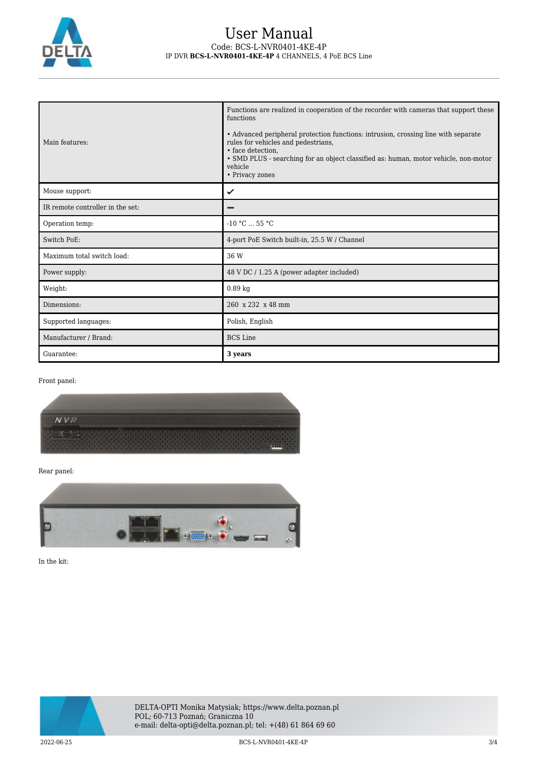

#### User Manual Code: BCS-L-NVR0401-4KE-4P IP DVR **BCS-L-NVR0401-4KE-4P** 4 CHANNELS, 4 PoE BCS Line

| Main features:                   | Functions are realized in cooperation of the recorder with cameras that support these<br>functions<br>• Advanced peripheral protection functions: intrusion, crossing line with separate<br>rules for vehicles and pedestrians,<br>• face detection.<br>• SMD PLUS - searching for an object classified as: human, motor vehicle, non-motor<br>vehicle<br>• Privacy zones |
|----------------------------------|---------------------------------------------------------------------------------------------------------------------------------------------------------------------------------------------------------------------------------------------------------------------------------------------------------------------------------------------------------------------------|
| Mouse support:                   | ✓                                                                                                                                                                                                                                                                                                                                                                         |
| IR remote controller in the set: |                                                                                                                                                                                                                                                                                                                                                                           |
| Operation temp:                  | $-10 °C  55 °C$                                                                                                                                                                                                                                                                                                                                                           |
| Switch PoE:                      | 4-port PoE Switch built-in, 25.5 W / Channel                                                                                                                                                                                                                                                                                                                              |
| Maximum total switch load:       | 36 W                                                                                                                                                                                                                                                                                                                                                                      |
| Power supply:                    | 48 V DC / 1.25 A (power adapter included)                                                                                                                                                                                                                                                                                                                                 |
| Weight:                          | $0.89$ kg                                                                                                                                                                                                                                                                                                                                                                 |
| Dimensions:                      | 260 x 232 x 48 mm                                                                                                                                                                                                                                                                                                                                                         |
| Supported languages:             | Polish, English                                                                                                                                                                                                                                                                                                                                                           |
| Manufacturer / Brand:            | <b>BCS</b> Line                                                                                                                                                                                                                                                                                                                                                           |
| Guarantee:                       | 3 years                                                                                                                                                                                                                                                                                                                                                                   |

Front panel:



Rear panel:



In the kit: